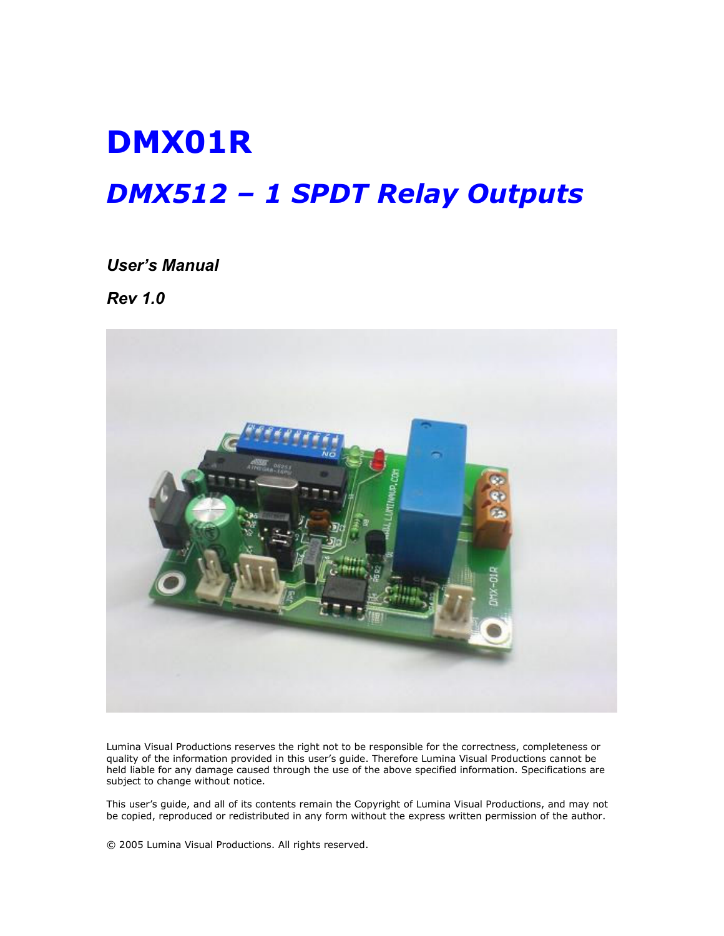# DMX01R DMX512 – 1 SPDT Relay Outputs

User's Manual

Rev 1.0



Lumina Visual Productions reserves the right not to be responsible for the correctness, completeness or quality of the information provided in this user's guide. Therefore Lumina Visual Productions cannot be held liable for any damage caused through the use of the above specified information. Specifications are subject to change without notice.

This user's guide, and all of its contents remain the Copyright of Lumina Visual Productions, and may not be copied, reproduced or redistributed in any form without the express written permission of the author.

© 2005 Lumina Visual Productions. All rights reserved.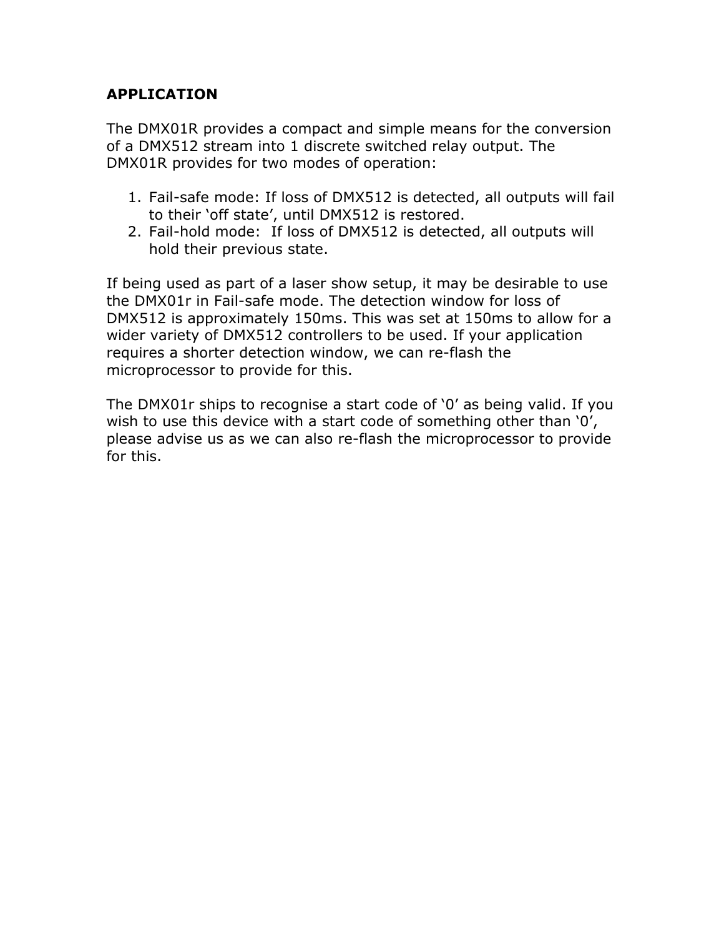## APPLICATION

The DMX01R provides a compact and simple means for the conversion of a DMX512 stream into 1 discrete switched relay output. The DMX01R provides for two modes of operation:

- 1. Fail-safe mode: If loss of DMX512 is detected, all outputs will fail to their 'off state', until DMX512 is restored.
- 2. Fail-hold mode: If loss of DMX512 is detected, all outputs will hold their previous state.

If being used as part of a laser show setup, it may be desirable to use the DMX01r in Fail-safe mode. The detection window for loss of DMX512 is approximately 150ms. This was set at 150ms to allow for a wider variety of DMX512 controllers to be used. If your application requires a shorter detection window, we can re-flash the microprocessor to provide for this.

The DMX01r ships to recognise a start code of '0' as being valid. If you wish to use this device with a start code of something other than '0', please advise us as we can also re-flash the microprocessor to provide for this.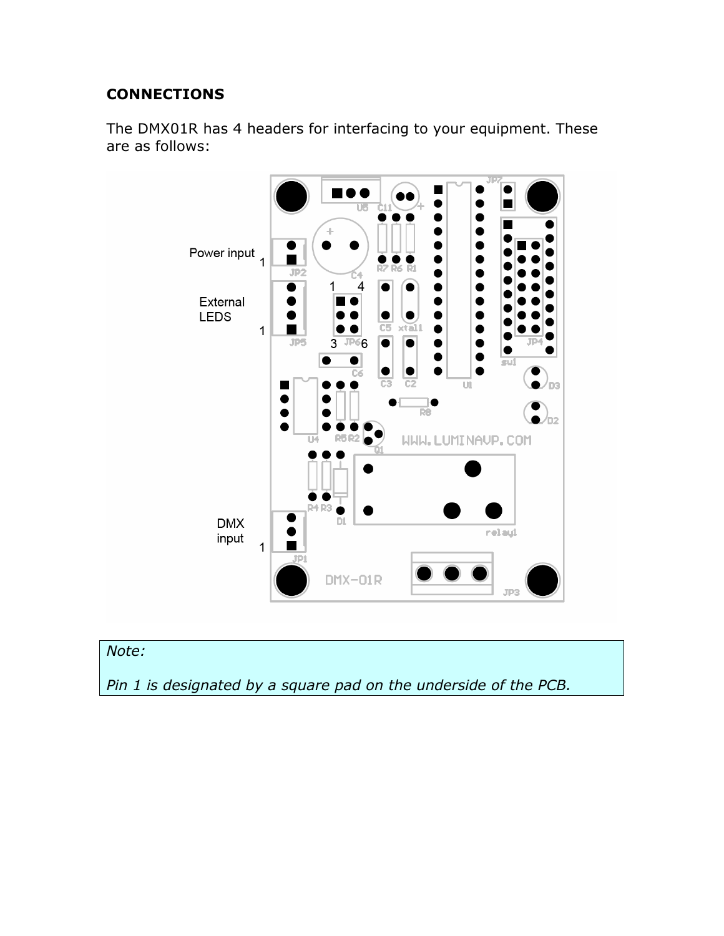## **CONNECTIONS**

The DMX01R has 4 headers for interfacing to your equipment. These are as follows:





Pin 1 is designated by a square pad on the underside of the PCB.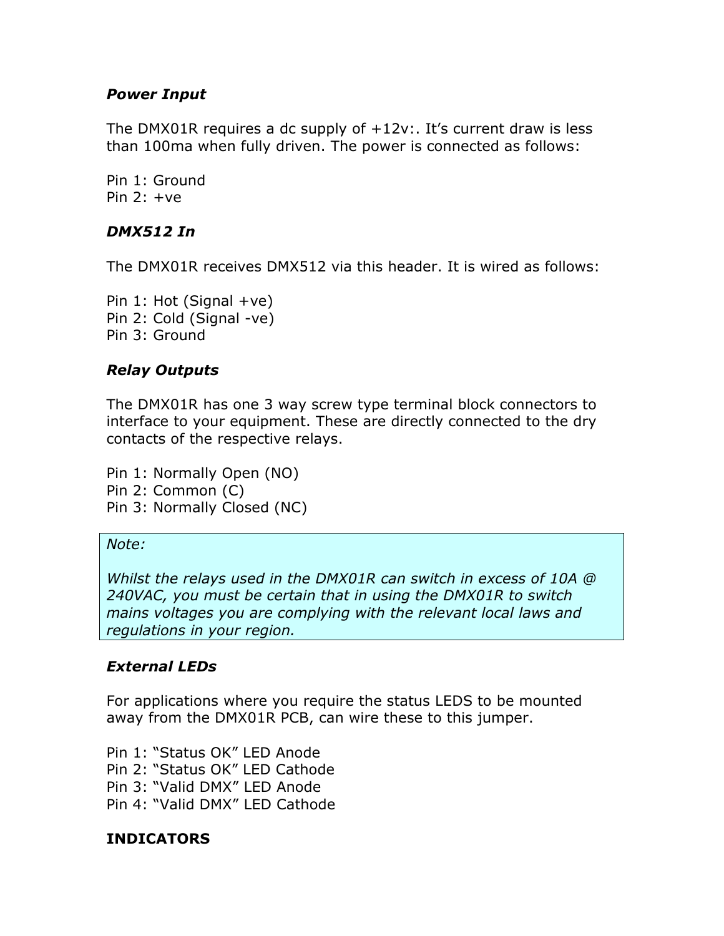## Power Input

The DMX01R requires a dc supply of +12v:. It's current draw is less than 100ma when fully driven. The power is connected as follows:

Pin 1: Ground Pin  $2: +ve$ 

## DMX512 In

The DMX01R receives DMX512 via this header. It is wired as follows:

Pin  $1:$  Hot (Signal  $+ve$ ) Pin 2: Cold (Signal -ve) Pin 3: Ground

## Relay Outputs

The DMX01R has one 3 way screw type terminal block connectors to interface to your equipment. These are directly connected to the dry contacts of the respective relays.

Pin 1: Normally Open (NO) Pin 2: Common (C) Pin 3: Normally Closed (NC)

#### Note:

Whilst the relays used in the DMX01R can switch in excess of 10A @ 240VAC, you must be certain that in using the DMX01R to switch mains voltages you are complying with the relevant local laws and regulations in your region.

## External LEDs

For applications where you require the status LEDS to be mounted away from the DMX01R PCB, can wire these to this jumper.

Pin 1: "Status OK" LED Anode Pin 2: "Status OK" LED Cathode Pin 3: "Valid DMX" LED Anode Pin 4: "Valid DMX" LED Cathode

## INDICATORS